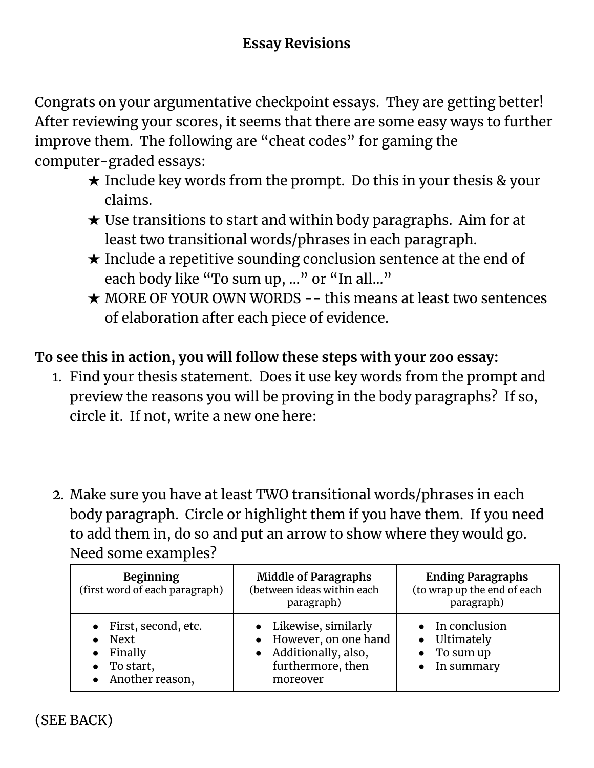Congrats on your argumentative checkpoint essays. They are getting better! After reviewing your scores, it seems that there are some easy ways to further improve them. The following are "cheat codes" for gaming the computer-graded essays:

- $\star$  Include key words from the prompt. Do this in your thesis & your claims.
- $\star$  Use transitions to start and within body paragraphs. Aim for at least two transitional words/phrases in each paragraph.
- ★ Include a repetitive sounding conclusion sentence at the end of each body like "To sum up, ..." or "In all..."
- ★ MORE OF YOUR OWN WORDS -- this means at least two sentences of elaboration after each piece of evidence.

## **To see this in action, you will follow these steps with your zoo essay:**

- 1. Find your thesis statement. Does it use key words from the prompt and preview the reasons you will be proving in the body paragraphs? If so, circle it. If not, write a new one here:
- 2. Make sure you have at least TWO transitional words/phrases in each body paragraph. Circle or highlight them if you have them. If you need to add them in, do so and put an arrow to show where they would go. Need some examples?

| <b>Beginning</b><br>(first word of each paragraph)                                               | <b>Middle of Paragraphs</b><br>(between ideas within each<br>paragraph)                             | <b>Ending Paragraphs</b><br>(to wrap up the end of each<br>paragraph) |
|--------------------------------------------------------------------------------------------------|-----------------------------------------------------------------------------------------------------|-----------------------------------------------------------------------|
| • First, second, etc.<br>$\bullet$ Next<br>• Finally<br>$\bullet$ To start,<br>• Another reason, | Likewise, similarly<br>However, on one hand<br>Additionally, also,<br>furthermore, then<br>moreover | In conclusion<br>• Ultimately<br>To sum up<br>In summary              |

(SEE BACK)